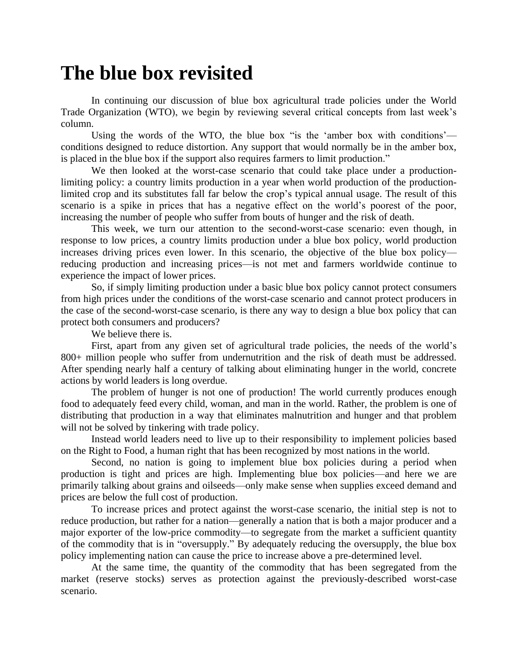## **The blue box revisited**

In continuing our discussion of blue box agricultural trade policies under the World Trade Organization (WTO), we begin by reviewing several critical concepts from last week's column.

Using the words of the WTO, the blue box "is the 'amber box with conditions' conditions designed to reduce distortion. Any support that would normally be in the amber box, is placed in the blue box if the support also requires farmers to limit production."

We then looked at the worst-case scenario that could take place under a productionlimiting policy: a country limits production in a year when world production of the productionlimited crop and its substitutes fall far below the crop's typical annual usage. The result of this scenario is a spike in prices that has a negative effect on the world's poorest of the poor, increasing the number of people who suffer from bouts of hunger and the risk of death.

This week, we turn our attention to the second-worst-case scenario: even though, in response to low prices, a country limits production under a blue box policy, world production increases driving prices even lower. In this scenario, the objective of the blue box policy reducing production and increasing prices—is not met and farmers worldwide continue to experience the impact of lower prices.

So, if simply limiting production under a basic blue box policy cannot protect consumers from high prices under the conditions of the worst-case scenario and cannot protect producers in the case of the second-worst-case scenario, is there any way to design a blue box policy that can protect both consumers and producers?

We believe there is.

First, apart from any given set of agricultural trade policies, the needs of the world's 800+ million people who suffer from undernutrition and the risk of death must be addressed. After spending nearly half a century of talking about eliminating hunger in the world, concrete actions by world leaders is long overdue.

The problem of hunger is not one of production! The world currently produces enough food to adequately feed every child, woman, and man in the world. Rather, the problem is one of distributing that production in a way that eliminates malnutrition and hunger and that problem will not be solved by tinkering with trade policy.

Instead world leaders need to live up to their responsibility to implement policies based on the Right to Food, a human right that has been recognized by most nations in the world.

Second, no nation is going to implement blue box policies during a period when production is tight and prices are high. Implementing blue box policies—and here we are primarily talking about grains and oilseeds—only make sense when supplies exceed demand and prices are below the full cost of production.

To increase prices and protect against the worst-case scenario, the initial step is not to reduce production, but rather for a nation—generally a nation that is both a major producer and a major exporter of the low-price commodity—to segregate from the market a sufficient quantity of the commodity that is in "oversupply." By adequately reducing the oversupply, the blue box policy implementing nation can cause the price to increase above a pre-determined level.

At the same time, the quantity of the commodity that has been segregated from the market (reserve stocks) serves as protection against the previously-described worst-case scenario.